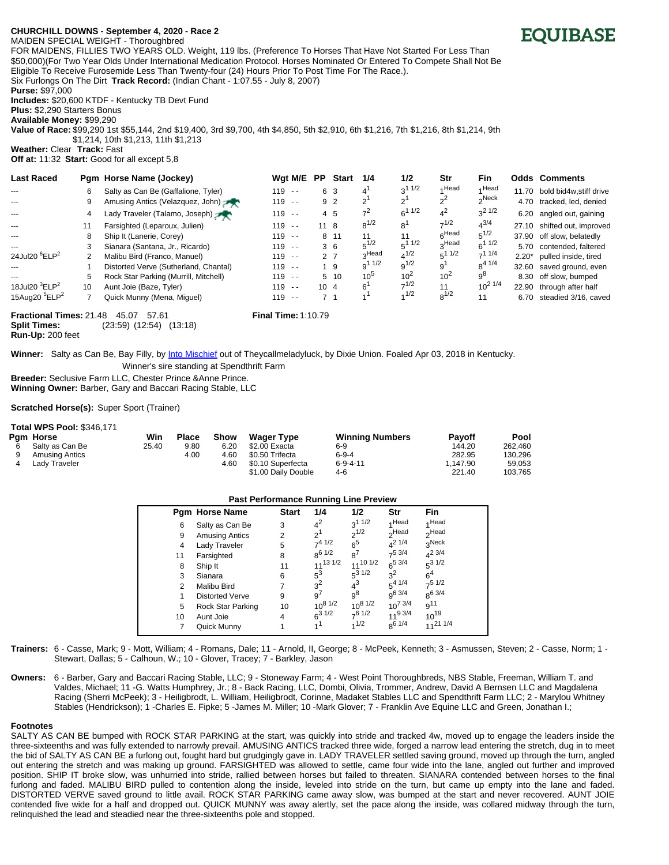# **CHURCH/ILL DOWNS - September 4, 2020 - Race 2**

MAIDEN SPECIAL WEIGHT - Thoroughbred FOR MAIDENS, FILLIES TWO YEARS OLD. Weight, 119 lbs. (Preference To Horses That Have Not Started For Less Than \$50,000)(For Two Year Olds Under International Medication Protocol. Horses Nominated Or Entered To Compete Shall Not Be Eligible To Receive Furosemide Less Than Twenty-four (24) Hours Prior To Post Time For The Race.). Six Furlongs On The Dirt **Track Record:** (Indian Chant - 1:07.55 - July 8, 2007)

**Purse:** \$97,000

**Includes:** \$20,600 KTDF - Kentucky TB Devt Fund

**Plus:** \$2,290 Starters Bonus

**Available Money:** \$99,290

**Value of Race:** \$99,290 1st \$55,144, 2nd \$19,400, 3rd \$9,700, 4th \$4,850, 5th \$2,910, 6th \$1,216, 7th \$1,216, 8th \$1,214, 9th \$1,214, 10th \$1,213, 11th \$1,213 **Weather:** Clear **Track:** Fast

**Off at:** 11:32 **Start:** Good for all except 5,8

| <b>Last Raced</b>                     |    | Pgm Horse Name (Jockey)               | Wgt M/E   | <b>PP</b>    | Start          | 1/4            | 1/2        | Str               | <b>Fin</b>        |       | <b>Odds Comments</b>       |
|---------------------------------------|----|---------------------------------------|-----------|--------------|----------------|----------------|------------|-------------------|-------------------|-------|----------------------------|
|                                       | 6  | Salty as Can Be (Gaffalione, Tyler)   | $119 - -$ |              | 6 3            | 4'             | 211/2      | A Head            | Head              | 11.70 | bold bid4w, stiff drive    |
|                                       | 9  | Amusing Antics (Velazquez, John)      | $119 - -$ |              | 9 2            | $2^{1}$        | $2^{1}$    | $2^2$             | <sub>2</sub> Neck | 4.70  | tracked, led, denied       |
| $--$                                  | 4  | Lady Traveler (Talamo, Joseph)        | $119 - -$ |              | 4 5            | 7 <sup>2</sup> | $6^{11/2}$ | $4^2$             | $3^2$ 1/2         | 6.20  | angled out, gaining        |
|                                       | 11 | Farsighted (Leparoux, Julien)         | $119 - -$ | $11 \quad 8$ |                | $8^{1/2}$      | $8^1$      | $7^{1/2}$         | $4^{3/4}$         | 27.10 | shifted out, improved      |
|                                       |    | Ship It (Lanerie, Corey)              | $119 - -$ |              | 8 11           | 11             | 11         | 6 <sup>Head</sup> | $5^{1/2}$         |       | 37.90 off slow, belatedly  |
|                                       |    | Sianara (Santana, Jr., Ricardo)       | $119 - -$ |              | 36             | $5^{1/2}$      | $5^{11/2}$ | 3Head             | $6^{11/2}$        | 5.70  | contended, faltered        |
| 24Jul20 <sup>6</sup> ELP <sup>2</sup> | 2  | Malibu Bird (Franco, Manuel)          | $119 - -$ |              | 2 7            | 3Head          | $4^{1/2}$  | $5^{11/2}$        | $-11/4$           |       | 2.20* pulled inside, tired |
|                                       |    | Distorted Verve (Sutherland, Chantal) | $119 - -$ |              | 19             | $9^{11/2}$     | $9^{1/2}$  | 9 <sup>1</sup>    | $0^{4}1/4$        |       | 32.60 saved ground, even   |
|                                       |    | Rock Star Parking (Murrill, Mitchell) | $119 - -$ |              | $5 \t10$       | $10^5$         | $10^2$     | $10^2$            | $9^8$             | 8.30  | off slow, bumped           |
| 18Jul20 ${}^{3}$ ELP <sup>2</sup>     | 10 | Aunt Joie (Baze, Tyler)               | $119 - -$ | $10 \quad 4$ |                | 6'             | $7^{1/2}$  | 11                | $10^{2}$ $1/4$    | 22.90 | through after half         |
| 15Aug20 $^5$ ELP <sup>2</sup>         |    | Quick Munny (Mena, Miguel)            | $119 - -$ |              | 7 <sub>1</sub> | 1 <sup>1</sup> | 1/2        | $8^{1/2}$         | 11                | 6.70  | steadied 3/16, caved       |

#### **Fractional Times:** 21.48 45.07 57.61 **Final Time:** 1:10.79 **Split Times:** (23:59) (12:54) (13:18)

**Run-Up:** 200 feet

**Winner:** Salty as Can Be, Bay Filly, by Into [Mischief](http://pubads.g.doubleclick.net/gampad/clk?id=5036636125&iu=/2542414/EQ_Click_Sire_Spendthrift_IntoMischief) out of Theycallmeladyluck, by Dixie Union. Foaled Apr 03, 2018 in Kentucky. Winner's sire standing at Spendthrift Farm

**Breeder:** Seclusive Farm LLC, Chester Prince &Anne Prince.

**Winning Owner:** Barber, Gary and Baccari Racing Stable, LLC

### **Scratched Horse(s):** Super Sport (Trainer)

## **Total WPS Pool:** \$346,171

| Pgm Horse             | Win   | <b>Place</b> | Show | <b>Wager Type</b>   | <b>Winning Numbers</b> | <b>Pavoff</b> | Pool    |
|-----------------------|-------|--------------|------|---------------------|------------------------|---------------|---------|
| Salty as Can Be       | 25.40 | 9.80         | 6.20 | \$2.00 Exacta       | 6-9                    | 144.20        | 262.460 |
| <b>Amusing Antics</b> |       | 4.00         | 4.60 | \$0.50 Trifecta     | $6-9-4$                | 282.95        | 130.296 |
| Lady Traveler         |       |              | 4.60 | \$0.10 Superfecta   | $6 - 9 - 4 - 11$       | 1.147.90      | 59,053  |
|                       |       |              |      | \$1.00 Daily Double | 4-6                    | 221.40        | 103.765 |

| <b>Past Performance Running Line Preview</b> |                       |                |                 |                 |                     |                   |  |  |  |  |
|----------------------------------------------|-----------------------|----------------|-----------------|-----------------|---------------------|-------------------|--|--|--|--|
|                                              | <b>Pgm Horse Name</b> | <b>Start</b>   | 1/4             | 1/2             | Str                 | <b>Fin</b>        |  |  |  |  |
| 6                                            | Salty as Can Be       | 3              | $4^2$           | $3^{11/2}$      | 4 Head              | 4 Head            |  |  |  |  |
| 9                                            | <b>Amusing Antics</b> | $\overline{2}$ | $2^{1}$         | $2^{1/2}$       | <sub>2</sub> Head   | <sub>2</sub> Head |  |  |  |  |
| 4                                            | Lady Traveler         | 5              | $7^{4}$ 1/2     | $6^5$           | $A^2$ 1/4           | 3Neck             |  |  |  |  |
| 11                                           | Farsighted            | 8              | $8^{6}$ 1/2     | $R^7$           | $7^5$ 3/4           | $4^{2}$ 3/4       |  |  |  |  |
| 8                                            | Ship It               | 11             | $11^{13}$ $1/2$ | $11^{10}$ $1/2$ | $6^{5}$ 3/4         | $5^3$ 1/2         |  |  |  |  |
| 3                                            | Sianara               | 6              | $5^3$           | $5^3$ 1/2       | $3^2$               | $6^4$             |  |  |  |  |
| 2                                            | Malibu Bird           | 7              | 3 <sup>2</sup>  | $4^3$           | $5^{4}$ $1/4$       | $7^5$ 1/2         |  |  |  |  |
| 1                                            | Distorted Verve       | 9              | g <sup>7</sup>  | $9^8$           | $9^{6}$ 3/4         | $8^{6}$ 3/4       |  |  |  |  |
| 5                                            | Rock Star Parking     | 10             | $10^{8}$ $1/2$  | $10^{8}$ $1/2$  | $10^{7}$ 3/4        | g <sup>11</sup>   |  |  |  |  |
| 10                                           | Aunt Joie             | 4              | $6^{31/2}$      | $7^6$ 1/2       | 11 <sup>9</sup> 3/4 | $10^{19}$         |  |  |  |  |
| 7                                            | Quick Munny           |                | 41              | 1/2             | $8^{6}$ 1/4         | $11^{21}$ 1/4     |  |  |  |  |

- **Trainers:** 6 Casse, Mark; 9 Mott, William; 4 Romans, Dale; 11 Arnold, II, George; 8 McPeek, Kenneth; 3 Asmussen, Steven; 2 Casse, Norm; 1 Stewart, Dallas; 5 - Calhoun, W.; 10 - Glover, Tracey; 7 - Barkley, Jason
- **Owners:** 6 Barber, Gary and Baccari Racing Stable, LLC; 9 Stoneway Farm; 4 West Point Thoroughbreds, NBS Stable, Freeman, William T. and Valdes, Michael; 11 -G. Watts Humphrey, Jr.; 8 - Back Racing, LLC, Dombi, Olivia, Trommer, Andrew, David A Bernsen LLC and Magdalena Racing (Sherri McPeek); 3 - Heiligbrodt, L. William, Heiligbrodt, Corinne, Madaket Stables LLC and Spendthrift Farm LLC; 2 - Marylou Whitney Stables (Hendrickson); 1 -Charles E. Fipke; 5 -James M. Miller; 10 -Mark Glover; 7 - Franklin Ave Equine LLC and Green, Jonathan I.;

#### **Footnotes**

SALTY AS CAN BE bumped with ROCK STAR PARKING at the start, was quickly into stride and tracked 4w, moved up to engage the leaders inside the three-sixteenths and was fully extended to narrowly prevail. AMUSING ANTICS tracked three wide, forged a narrow lead entering the stretch, dug in to meet the bid of SALTY AS CAN BE a furlong out, fought hard but grudgingly gave in. LADY TRAVELER settled saving ground, moved up through the turn, angled out entering the stretch and was making up ground. FARSIGHTED was allowed to settle, came four wide into the lane, angled out further and improved position. SHIP IT broke slow, was unhurried into stride, rallied between horses but failed to threaten. SIANARA contended between horses to the final furlong and faded. MALIBU BIRD pulled to contention along the inside, leveled into stride on the turn, but came up empty into the lane and faded. DISTORTED VERVE saved ground to little avail. ROCK STAR PARKING came away slow, was bumped at the start and never recovered. AUNT JOIE contended five wide for a half and dropped out. QUICK MUNNY was away alertly, set the pace along the inside, was collared midway through the turn, relinquished the lead and steadied near the three-sixteenths pole and stopped.